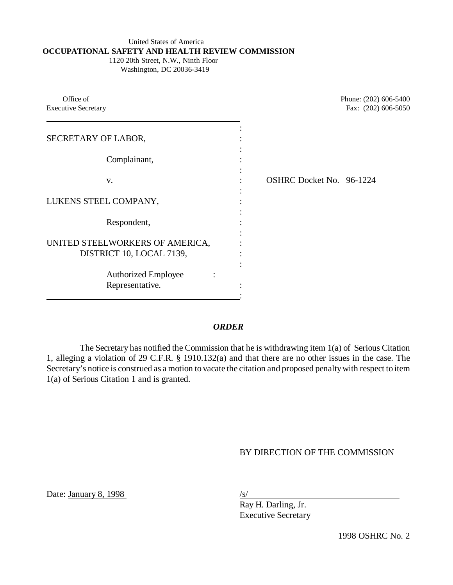#### United States of America **OCCUPATIONAL SAFETY AND HEALTH REVIEW COMMISSION** 1120 20th Street, N.W., Ninth Floor

Washington, DC 20036-3419

| Office of<br><b>Executive Secretary</b>                     | Phone: (202) 606-5400<br>Fax: (202) 606-5050 |
|-------------------------------------------------------------|----------------------------------------------|
| SECRETARY OF LABOR,                                         |                                              |
| Complainant,                                                |                                              |
| V.                                                          | OSHRC Docket No. 96-1224                     |
| LUKENS STEEL COMPANY,                                       |                                              |
| Respondent,                                                 |                                              |
| UNITED STEELWORKERS OF AMERICA,<br>DISTRICT 10, LOCAL 7139, |                                              |
| <b>Authorized Employee</b><br>Representative.               |                                              |

## *ORDER*

The Secretary has notified the Commission that he is withdrawing item 1(a) of Serious Citation 1, alleging a violation of 29 C.F.R. § 1910.132(a) and that there are no other issues in the case. The Secretary's notice is construed as a motion to vacate the citation and proposed penalty with respect to item 1(a) of Serious Citation 1 and is granted.

# BY DIRECTION OF THE COMMISSION

Date: January 8, 1998 /s/

Ray H. Darling, Jr. Executive Secretary

1998 OSHRC No. 2